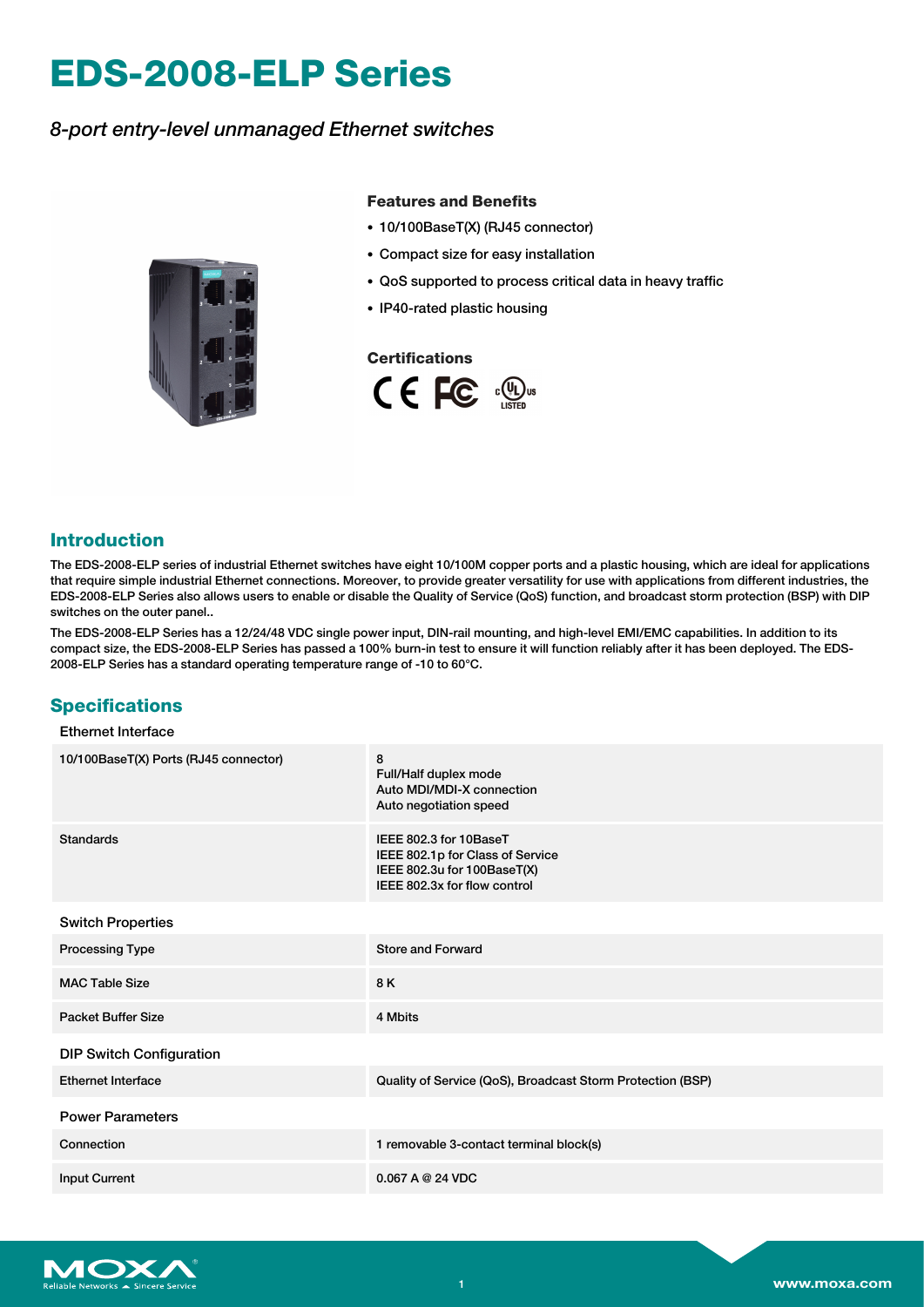# **EDS-2008-ELP Series**

## *8-port entry-level unmanaged Ethernet switches*



## **Features and Benefits**

- 10/100BaseT(X) (RJ45 connector)
- Compact size for easy installation
- QoS supported to process critical data in heavy traffic
- IP40-rated plastic housing

### **Certifications**



## **Introduction**

The EDS-2008-ELP series of industrial Ethernet switches have eight 10/100M copper ports and a plastic housing, which are ideal for applications that require simple industrial Ethernet connections. Moreover, to provide greater versatility for use with applications from different industries, the EDS-2008-ELP Series also allows users to enable or disable the Quality of Service (QoS) function, and broadcast storm protection (BSP) with DIP switches on the outer panel..

The EDS-2008-ELP Series has a 12/24/48 VDC single power input, DIN-rail mounting, and high-level EMI/EMC capabilities. In addition to its compact size, the EDS-2008-ELP Series has passed a 100% burn-in test to ensure it will function reliably after it has been deployed. The EDS-2008-ELP Series has a standard operating temperature range of -10 to 60°C.

## **Specifications**

#### Ethernet Interface

| 10/100BaseT(X) Ports (RJ45 connector) | 8<br>Full/Half duplex mode<br>Auto MDI/MDI-X connection<br>Auto negotiation speed                                         |
|---------------------------------------|---------------------------------------------------------------------------------------------------------------------------|
| Standards                             | IEEE 802.3 for 10BaseT<br>IEEE 802.1p for Class of Service<br>IEEE 802.3u for 100BaseT(X)<br>IEEE 802.3x for flow control |
| <b>Switch Properties</b>              |                                                                                                                           |
| <b>Processing Type</b>                | <b>Store and Forward</b>                                                                                                  |
| <b>MAC Table Size</b>                 | 8 K                                                                                                                       |
| <b>Packet Buffer Size</b>             | 4 Mbits                                                                                                                   |
| <b>DIP Switch Configuration</b>       |                                                                                                                           |
| <b>Ethernet Interface</b>             | Quality of Service (QoS), Broadcast Storm Protection (BSP)                                                                |
| <b>Power Parameters</b>               |                                                                                                                           |
| Connection                            | 1 removable 3-contact terminal block(s)                                                                                   |
| <b>Input Current</b>                  | 0.067A@24VDC                                                                                                              |

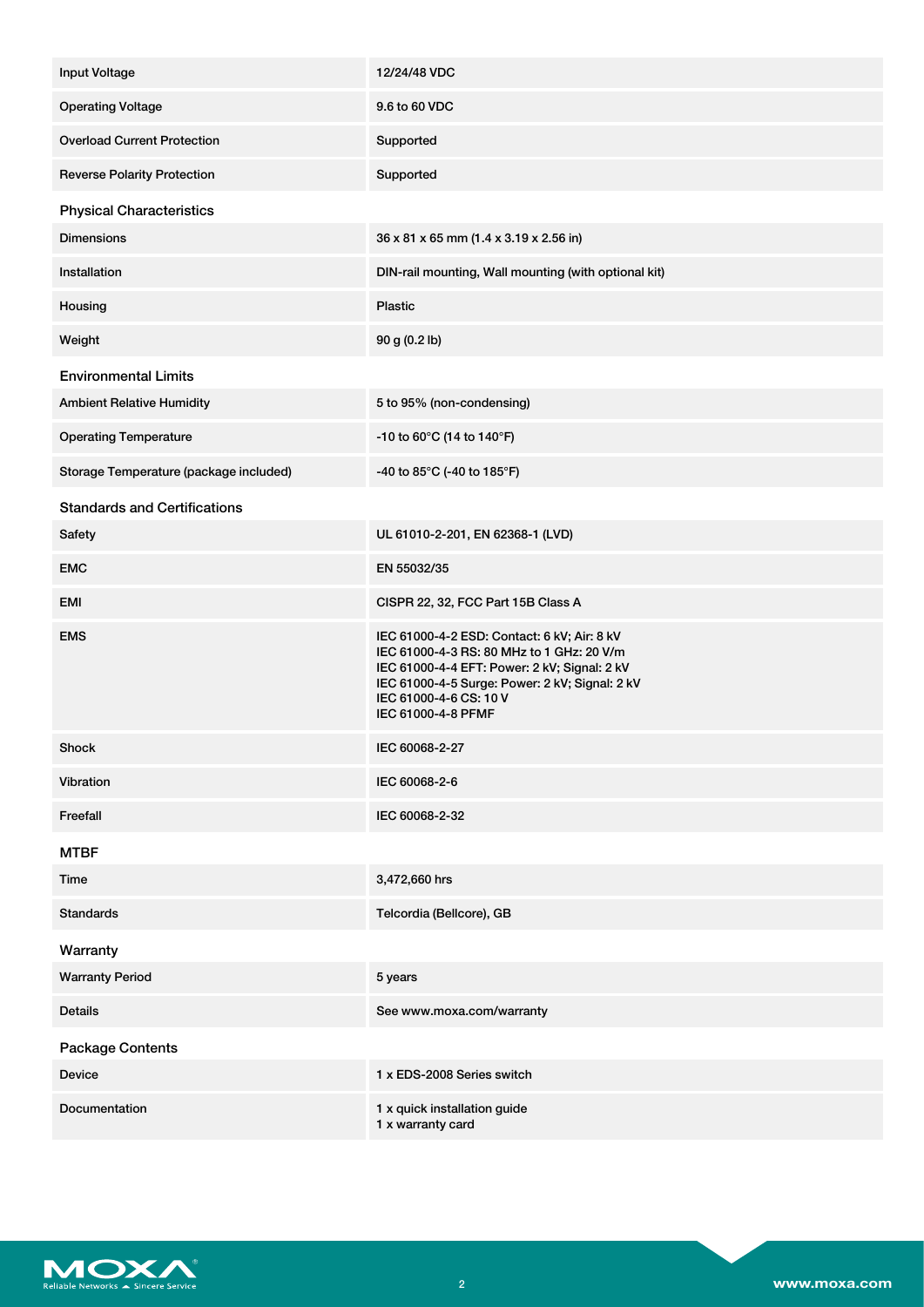| <b>Input Voltage</b>                   | 12/24/48 VDC                                                                                                                                                                                                                               |
|----------------------------------------|--------------------------------------------------------------------------------------------------------------------------------------------------------------------------------------------------------------------------------------------|
| <b>Operating Voltage</b>               | 9.6 to 60 VDC                                                                                                                                                                                                                              |
| <b>Overload Current Protection</b>     | Supported                                                                                                                                                                                                                                  |
| <b>Reverse Polarity Protection</b>     | Supported                                                                                                                                                                                                                                  |
| <b>Physical Characteristics</b>        |                                                                                                                                                                                                                                            |
| <b>Dimensions</b>                      | 36 x 81 x 65 mm (1.4 x 3.19 x 2.56 in)                                                                                                                                                                                                     |
| Installation                           | DIN-rail mounting, Wall mounting (with optional kit)                                                                                                                                                                                       |
| Housing                                | <b>Plastic</b>                                                                                                                                                                                                                             |
| Weight                                 | 90 g (0.2 lb)                                                                                                                                                                                                                              |
| <b>Environmental Limits</b>            |                                                                                                                                                                                                                                            |
| <b>Ambient Relative Humidity</b>       | 5 to 95% (non-condensing)                                                                                                                                                                                                                  |
| <b>Operating Temperature</b>           | -10 to 60 $^{\circ}$ C (14 to 140 $^{\circ}$ F)                                                                                                                                                                                            |
| Storage Temperature (package included) | -40 to 85°C (-40 to 185°F)                                                                                                                                                                                                                 |
| <b>Standards and Certifications</b>    |                                                                                                                                                                                                                                            |
| Safety                                 | UL 61010-2-201, EN 62368-1 (LVD)                                                                                                                                                                                                           |
| <b>EMC</b>                             | EN 55032/35                                                                                                                                                                                                                                |
| <b>EMI</b>                             | CISPR 22, 32, FCC Part 15B Class A                                                                                                                                                                                                         |
| <b>EMS</b>                             | IEC 61000-4-2 ESD: Contact: 6 kV; Air: 8 kV<br>IEC 61000-4-3 RS: 80 MHz to 1 GHz: 20 V/m<br>IEC 61000-4-4 EFT: Power: 2 kV; Signal: 2 kV<br>IEC 61000-4-5 Surge: Power: 2 kV; Signal: 2 kV<br>IEC 61000-4-6 CS: 10 V<br>IEC 61000-4-8 PFMF |
| <b>Shock</b>                           | IEC 60068-2-27                                                                                                                                                                                                                             |
| Vibration                              | IEC 60068-2-6                                                                                                                                                                                                                              |
| Freefall                               | IEC 60068-2-32                                                                                                                                                                                                                             |
| <b>MTBF</b>                            |                                                                                                                                                                                                                                            |
| Time                                   | 3,472,660 hrs                                                                                                                                                                                                                              |
| <b>Standards</b>                       | Telcordia (Bellcore), GB                                                                                                                                                                                                                   |
| Warranty                               |                                                                                                                                                                                                                                            |
| <b>Warranty Period</b>                 | 5 years                                                                                                                                                                                                                                    |
| <b>Details</b>                         | See www.moxa.com/warranty                                                                                                                                                                                                                  |
| <b>Package Contents</b>                |                                                                                                                                                                                                                                            |
| <b>Device</b>                          | 1 x EDS-2008 Series switch                                                                                                                                                                                                                 |
| Documentation                          | 1 x quick installation guide<br>1 x warranty card                                                                                                                                                                                          |